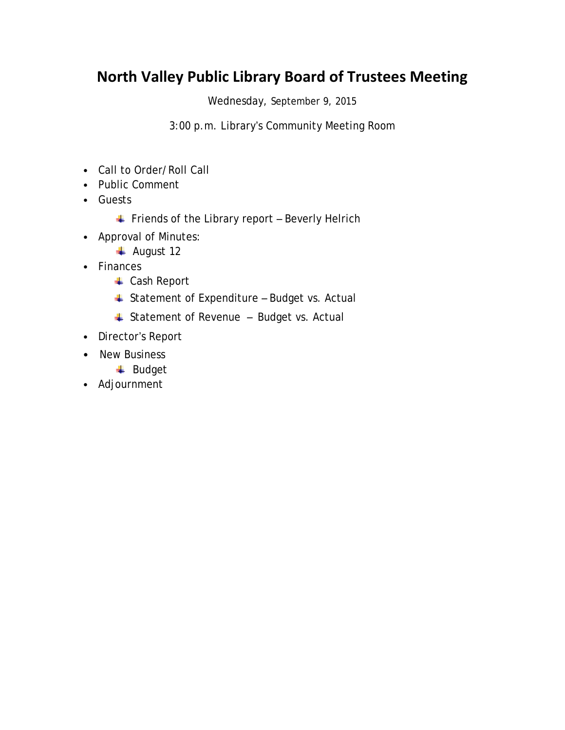## **North Valley Public Library Board of Trustees Meeting**

Wednesday, September 9, 2015

3:00 p.m. Library's Community Meeting Room

- Call to Order/Roll Call
- Public Comment
- Guests
	- $\overline{\phantom{a}}$  Friends of the Library report Beverly Helrich
- Approval of Minutes:
	- ← August 12
- Finances
	- Cash Report
	- Statement of Expenditure Budget vs. Actual
	- **Statement of Revenue Budget vs. Actual**
- Director's Report
- New Business
	- **↓** Budget
- Adjournment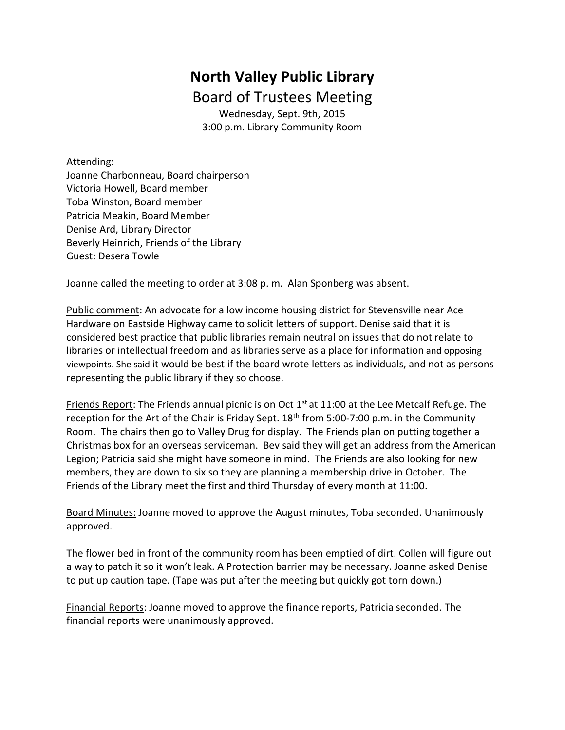## **North Valley Public Library**  Board of Trustees Meeting

Wednesday, Sept. 9th, 2015 3:00 p.m. Library Community Room

Attending:

Joanne Charbonneau, Board chairperson Victoria Howell, Board member Toba Winston, Board member Patricia Meakin, Board Member Denise Ard, Library Director Beverly Heinrich, Friends of the Library Guest: Desera Towle

Joanne called the meeting to order at 3:08 p. m. Alan Sponberg was absent.

Public comment: An advocate for a low income housing district for Stevensville near Ace Hardware on Eastside Highway came to solicit letters of support. Denise said that it is considered best practice that public libraries remain neutral on issues that do not relate to libraries or intellectual freedom and as libraries serve as a place for information and opposing viewpoints. She said it would be best if the board wrote letters as individuals, and not as persons representing the public library if they so choose.

Friends Report: The Friends annual picnic is on Oct 1<sup>st</sup> at 11:00 at the Lee Metcalf Refuge. The reception for the Art of the Chair is Friday Sept.  $18<sup>th</sup>$  from 5:00-7:00 p.m. in the Community Room. The chairs then go to Valley Drug for display. The Friends plan on putting together a Christmas box for an overseas serviceman. Bev said they will get an address from the American Legion; Patricia said she might have someone in mind. The Friends are also looking for new members, they are down to six so they are planning a membership drive in October. The Friends of the Library meet the first and third Thursday of every month at 11:00.

Board Minutes: Joanne moved to approve the August minutes, Toba seconded. Unanimously approved.

The flower bed in front of the community room has been emptied of dirt. Collen will figure out a way to patch it so it won't leak. A Protection barrier may be necessary. Joanne asked Denise to put up caution tape. (Tape was put after the meeting but quickly got torn down.)

Financial Reports: Joanne moved to approve the finance reports, Patricia seconded. The financial reports were unanimously approved.